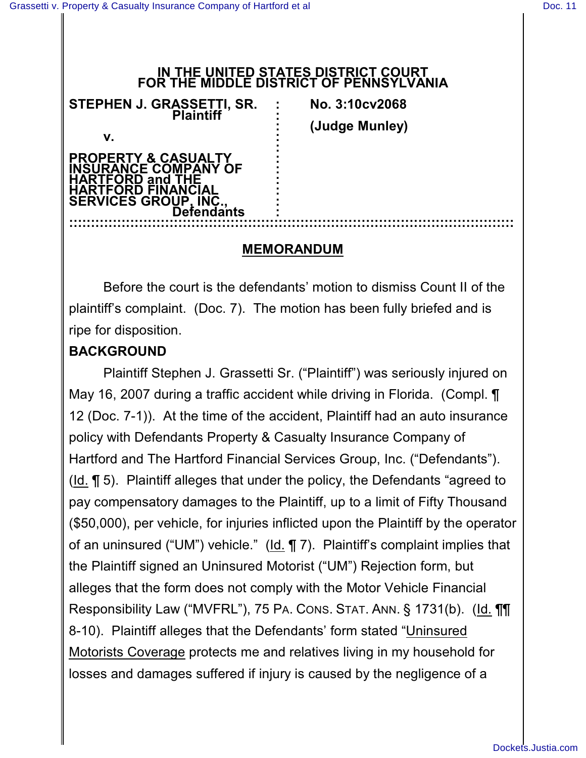#### **IN THE UNITED STATES DISTRICT COURT FOR THE MIDDLE DISTRICT OF PENNSYLVANIA**

| STEPHEN J. GRASSETTI, SR.                                                                                    | No. 3:10cv2068 |
|--------------------------------------------------------------------------------------------------------------|----------------|
| <b>Plaintiff</b>                                                                                             | (Judge Munley) |
| v.<br><b>&amp; CASUAL</b><br>FRT<br><b>DMPANY</b><br><b>OF</b><br>and<br><b>SERVICES GROUP</b><br>Defendants |                |

### **MEMORANDUM**

Before the court is the defendants' motion to dismiss Count II of the plaintiff's complaint. (Doc. 7). The motion has been fully briefed and is ripe for disposition.

## **BACKGROUND**

Plaintiff Stephen J. Grassetti Sr. ("Plaintiff") was seriously injured on May 16, 2007 during a traffic accident while driving in Florida. (Compl. ¶ 12 (Doc. 7-1)). At the time of the accident, Plaintiff had an auto insurance policy with Defendants Property & Casualty Insurance Company of Hartford and The Hartford Financial Services Group, Inc. ("Defendants"). (Id. ¶ 5). Plaintiff alleges that under the policy, the Defendants "agreed to pay compensatory damages to the Plaintiff, up to a limit of Fifty Thousand (\$50,000), per vehicle, for injuries inflicted upon the Plaintiff by the operator of an uninsured ("UM") vehicle." (Id. ¶ 7). Plaintiff's complaint implies that the Plaintiff signed an Uninsured Motorist ("UM") Rejection form, but alleges that the form does not comply with the Motor Vehicle Financial Responsibility Law ("MVFRL"), 75 PA. CONS. STAT. ANN. § 1731(b). (Id. ¶¶ 8-10). Plaintiff alleges that the Defendants' form stated "Uninsured Motorists Coverage protects me and relatives living in my household for losses and damages suffered if injury is caused by the negligence of a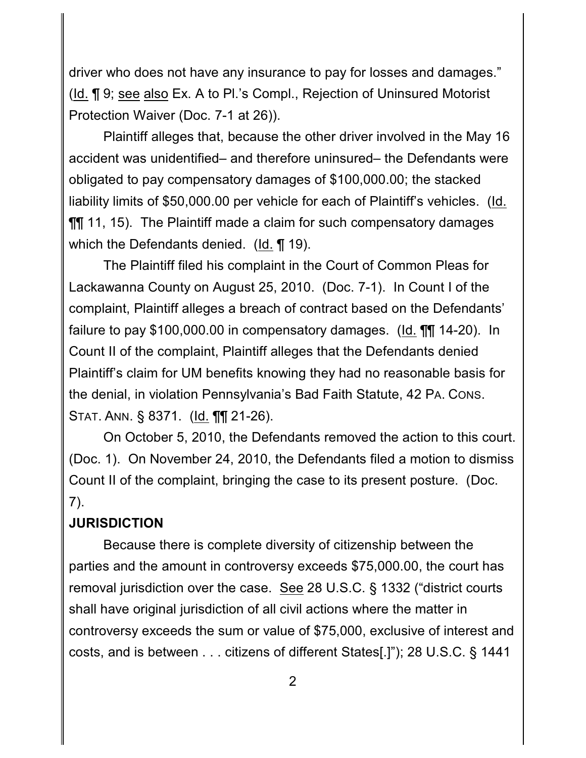driver who does not have any insurance to pay for losses and damages." (Id. ¶ 9; see also Ex. A to Pl.'s Compl., Rejection of Uninsured Motorist Protection Waiver (Doc. 7-1 at 26)).

Plaintiff alleges that, because the other driver involved in the May 16 accident was unidentified– and therefore uninsured– the Defendants were obligated to pay compensatory damages of \$100,000.00; the stacked liability limits of \$50,000.00 per vehicle for each of Plaintiff's vehicles. (Id.  $\P$  11, 15). The Plaintiff made a claim for such compensatory damages which the Defendants denied. (Id. ¶ 19).

The Plaintiff filed his complaint in the Court of Common Pleas for Lackawanna County on August 25, 2010. (Doc. 7-1). In Count I of the complaint, Plaintiff alleges a breach of contract based on the Defendants' failure to pay \$100,000.00 in compensatory damages. (Id. ¶¶ 14-20). In Count II of the complaint, Plaintiff alleges that the Defendants denied Plaintiff's claim for UM benefits knowing they had no reasonable basis for the denial, in violation Pennsylvania's Bad Faith Statute, 42 PA. CONS. STAT. ANN. § 8371. (Id. ¶¶ 21-26).

On October 5, 2010, the Defendants removed the action to this court. (Doc. 1). On November 24, 2010, the Defendants filed a motion to dismiss Count II of the complaint, bringing the case to its present posture. (Doc. 7).

### **JURISDICTION**

Because there is complete diversity of citizenship between the parties and the amount in controversy exceeds \$75,000.00, the court has removal jurisdiction over the case. See 28 U.S.C. § 1332 ("district courts shall have original jurisdiction of all civil actions where the matter in controversy exceeds the sum or value of \$75,000, exclusive of interest and costs, and is between . . . citizens of different States[.]"); 28 U.S.C. § 1441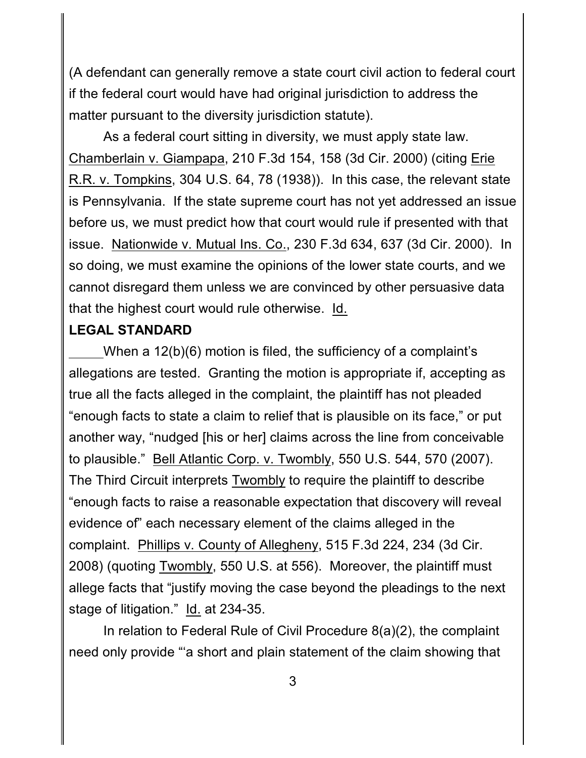(A defendant can generally remove a state court civil action to federal court if the federal court would have had original jurisdiction to address the matter pursuant to the diversity jurisdiction statute).

As a federal court sitting in diversity, we must apply state law. Chamberlain v. Giampapa, 210 F.3d 154, 158 (3d Cir. 2000) (citing Erie R.R. v. Tompkins, 304 U.S. 64, 78 (1938)). In this case, the relevant state is Pennsylvania. If the state supreme court has not yet addressed an issue before us, we must predict how that court would rule if presented with that issue. Nationwide v. Mutual Ins. Co., 230 F.3d 634, 637 (3d Cir. 2000). In so doing, we must examine the opinions of the lower state courts, and we cannot disregard them unless we are convinced by other persuasive data that the highest court would rule otherwise. Id.

## **LEGAL STANDARD**

When a 12(b)(6) motion is filed, the sufficiency of a complaint's allegations are tested. Granting the motion is appropriate if, accepting as true all the facts alleged in the complaint, the plaintiff has not pleaded "enough facts to state a claim to relief that is plausible on its face," or put another way, "nudged [his or her] claims across the line from conceivable to plausible." Bell Atlantic Corp. v. Twombly, 550 U.S. 544, 570 (2007). The Third Circuit interprets Twombly to require the plaintiff to describe "enough facts to raise a reasonable expectation that discovery will reveal evidence of" each necessary element of the claims alleged in the complaint. Phillips v. County of Allegheny, 515 F.3d 224, 234 (3d Cir. 2008) (quoting Twombly, 550 U.S. at 556). Moreover, the plaintiff must allege facts that "justify moving the case beyond the pleadings to the next stage of litigation." Id. at 234-35.

In relation to Federal Rule of Civil Procedure 8(a)(2), the complaint need only provide "'a short and plain statement of the claim showing that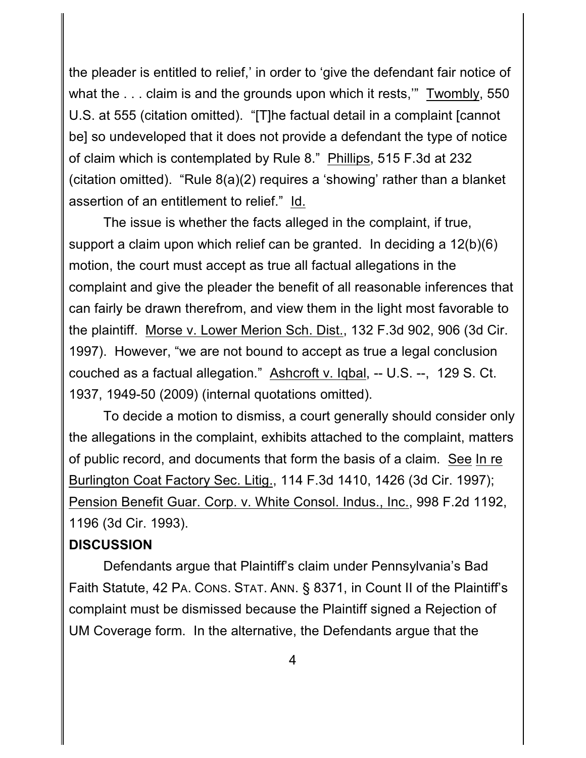the pleader is entitled to relief,' in order to 'give the defendant fair notice of what the . . . claim is and the grounds upon which it rests," Twombly, 550 U.S. at 555 (citation omitted). "[T]he factual detail in a complaint [cannot be] so undeveloped that it does not provide a defendant the type of notice of claim which is contemplated by Rule 8." Phillips, 515 F.3d at 232 (citation omitted). "Rule 8(a)(2) requires a 'showing' rather than a blanket assertion of an entitlement to relief." Id.

The issue is whether the facts alleged in the complaint, if true, support a claim upon which relief can be granted. In deciding a 12(b)(6) motion, the court must accept as true all factual allegations in the complaint and give the pleader the benefit of all reasonable inferences that can fairly be drawn therefrom, and view them in the light most favorable to the plaintiff. Morse v. Lower Merion Sch. Dist., 132 F.3d 902, 906 (3d Cir. 1997). However, "we are not bound to accept as true a legal conclusion couched as a factual allegation." Ashcroft v. Iqbal, -- U.S. --, 129 S. Ct. 1937, 1949-50 (2009) (internal quotations omitted).

To decide a motion to dismiss, a court generally should consider only the allegations in the complaint, exhibits attached to the complaint, matters of public record, and documents that form the basis of a claim. See In re Burlington Coat Factory Sec. Litig., 114 F.3d 1410, 1426 (3d Cir. 1997); Pension Benefit Guar. Corp. v. White Consol. Indus., Inc., 998 F.2d 1192, 1196 (3d Cir. 1993).

## **DISCUSSION**

Defendants argue that Plaintiff's claim under Pennsylvania's Bad Faith Statute, 42 PA. CONS. STAT. ANN. § 8371, in Count II of the Plaintiff's complaint must be dismissed because the Plaintiff signed a Rejection of UM Coverage form. In the alternative, the Defendants argue that the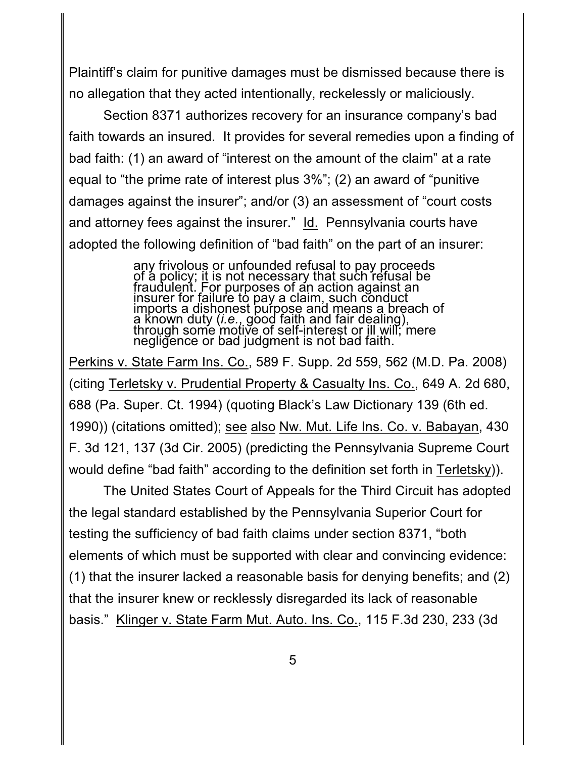Plaintiff's claim for punitive damages must be dismissed because there is no allegation that they acted intentionally, reckelessly or maliciously.

Section 8371 authorizes recovery for an insurance company's bad faith towards an insured. It provides for several remedies upon a finding of bad faith: (1) an award of "interest on the amount of the claim" at a rate equal to "the prime rate of interest plus 3%"; (2) an award of "punitive damages against the insurer"; and/or (3) an assessment of "court costs and attorney fees against the insurer." Id. Pennsylvania courts have adopted the following definition of "bad faith" on the part of an insurer:

> any frivolous or unfounded refusal to pay proceeds of a policy; it is not necessary that such refusal be fraudulent. For purposes of an action against an insurer for failure to pay a claim, such conduct imports a dishonest purpose and means a breach of a known duty (*i.e.*, good faith and fair dealing), through some motive of self-interest or ill will; mere negligence or bad judgment is not bad faith.

Perkins v. State Farm Ins. Co., 589 F. Supp. 2d 559, 562 (M.D. Pa. 2008) (citing Terletsky v. Prudential Property & Casualty Ins. Co., 649 A. 2d 680, 688 (Pa. Super. Ct. 1994) (quoting Black's Law Dictionary 139 (6th ed. 1990)) (citations omitted); see also Nw. Mut. Life Ins. Co. v. Babayan, 430 F. 3d 121, 137 (3d Cir. 2005) (predicting the Pennsylvania Supreme Court would define "bad faith" according to the definition set forth in Terletsky)).

The United States Court of Appeals for the Third Circuit has adopted the legal standard established by the Pennsylvania Superior Court for testing the sufficiency of bad faith claims under section 8371, "both elements of which must be supported with clear and convincing evidence: (1) that the insurer lacked a reasonable basis for denying benefits; and (2) that the insurer knew or recklessly disregarded its lack of reasonable basis." Klinger v. State Farm Mut. Auto. Ins. Co., 115 F.3d 230, 233 (3d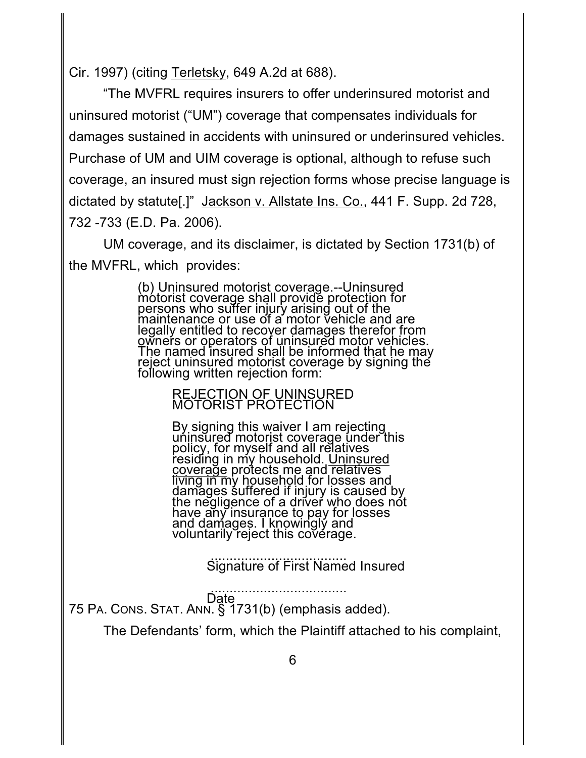Cir. 1997) (citing Terletsky, 649 A.2d at 688).

"The MVFRL requires insurers to offer underinsured motorist and uninsured motorist ("UM") coverage that compensates individuals for damages sustained in accidents with uninsured or underinsured vehicles. Purchase of UM and UIM coverage is optional, although to refuse such coverage, an insured must sign rejection forms whose precise language is dictated by statute[.]" Jackson v. Allstate Ins. Co., 441 F. Supp. 2d 728, 732 -733 (E.D. Pa. 2006).

UM coverage, and its disclaimer, is dictated by Section 1731(b) of the MVFRL, which provides:

> (b) Uninsured motorist coverage.--Uninsured motorist coverage shall provide protection for persons who suffer injury arising out of the maintenance or use of a motor vehicle and are legally entitled to recover damages therefor from owners or operators of uninsured motor vehicles. The named insured shall be informed that he may reject uninsured motorist coverage by signing the following written rejection form:

> > REJECTION OF UNINSURED MOTORIST PROTECTION

By signing this waiver I am rejecting uninsured motorist coverage under this policy, for myself and all relatives residing in my household. <u>Uninsured</u> coverage protects me and relatives living in my household for losses and damages śuffered if injury is caused by the negligence of a driver who does not have any insurance to pay for losses and damages. I knowingly and voluntarily reject this coverage.

> .................................... Signature of First Named Insured

 .................................... Date 75 PA. CONS. STAT. ANN. § 1731(b) (emphasis added).

The Defendants' form, which the Plaintiff attached to his complaint,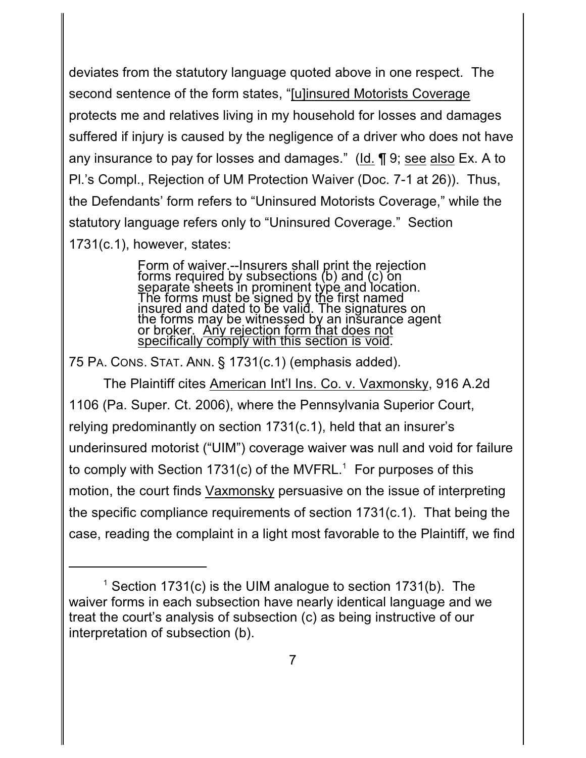deviates from the statutory language quoted above in one respect. The second sentence of the form states, "[u]insured Motorists Coverage protects me and relatives living in my household for losses and damages suffered if injury is caused by the negligence of a driver who does not have any insurance to pay for losses and damages." (Id. ¶ 9; see also Ex. A to Pl.'s Compl., Rejection of UM Protection Waiver (Doc. 7-1 at 26)). Thus, the Defendants' form refers to "Uninsured Motorists Coverage," while the statutory language refers only to "Uninsured Coverage." Section 1731(c.1), however, states:

> Form of waiver.--Insurers shall print the rejection forms required by subsections (b) and (c) on separate sheets in prominent type and location. The forms must be signed by the first named insured and dated to be valid. The signatures on the forms may be witnessed by an insurance agent or broker. Any rejection form that does not specifically comply with this section is void.

75 PA. CONS. STAT. ANN. § 1731(c.1) (emphasis added).

The Plaintiff cites American Int'l Ins. Co. v. Vaxmonsky, 916 A.2d 1106 (Pa. Super. Ct. 2006), where the Pennsylvania Superior Court, relying predominantly on section 1731(c.1), held that an insurer's underinsured motorist ("UIM") coverage waiver was null and void for failure to comply with Section 1731(c) of the MVFRL.<sup>1</sup> For purposes of this motion, the court finds Vaxmonsky persuasive on the issue of interpreting the specific compliance requirements of section 1731(c.1). That being the case, reading the complaint in a light most favorable to the Plaintiff, we find

<sup>&</sup>lt;sup>1</sup> Section 1731(c) is the UIM analogue to section 1731(b). The waiver forms in each subsection have nearly identical language and we treat the court's analysis of subsection (c) as being instructive of our interpretation of subsection (b).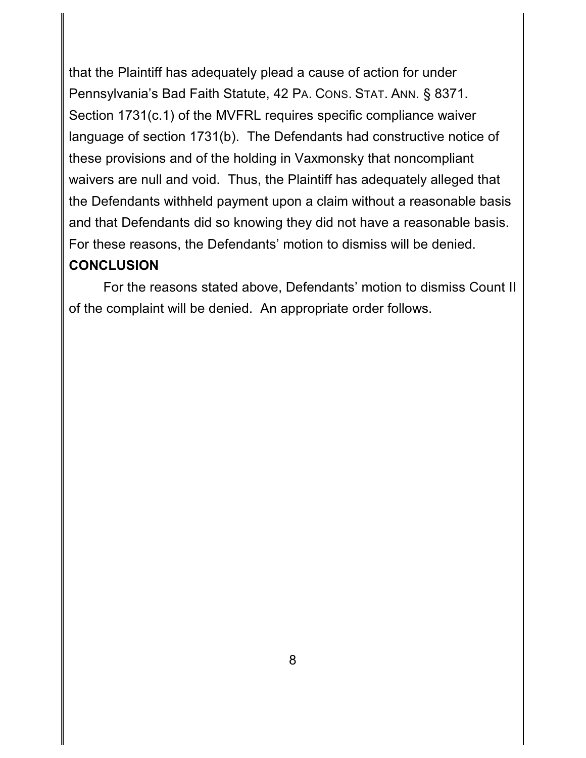that the Plaintiff has adequately plead a cause of action for under Pennsylvania's Bad Faith Statute, 42 PA. CONS. STAT. ANN. § 8371. Section 1731(c.1) of the MVFRL requires specific compliance waiver language of section 1731(b). The Defendants had constructive notice of these provisions and of the holding in Vaxmonsky that noncompliant waivers are null and void. Thus, the Plaintiff has adequately alleged that the Defendants withheld payment upon a claim without a reasonable basis and that Defendants did so knowing they did not have a reasonable basis. For these reasons, the Defendants' motion to dismiss will be denied. **CONCLUSION**

For the reasons stated above, Defendants' motion to dismiss Count II of the complaint will be denied. An appropriate order follows.